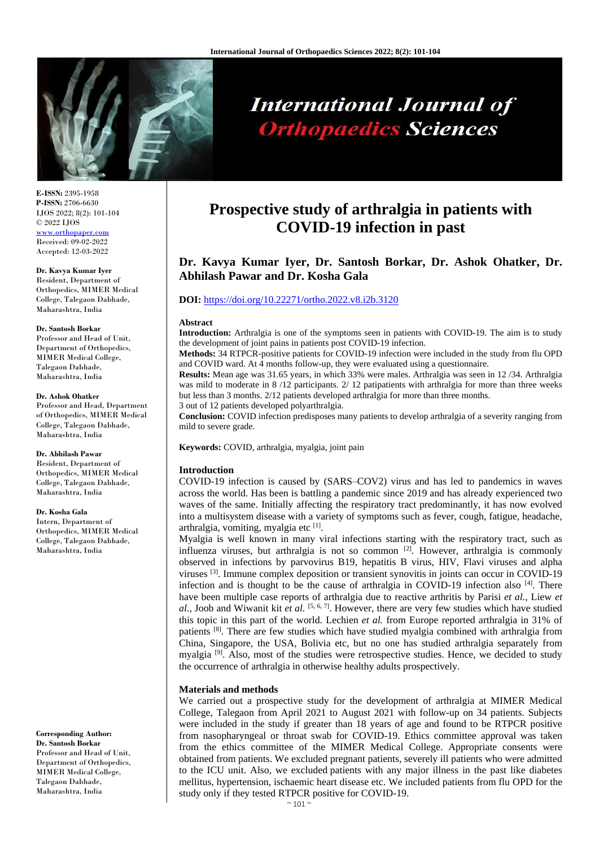

# **International Journal of Orthopaedics Sciences**

**E-ISSN:** 2395-1958 **P-ISSN:** 2706-6630 IJOS 2022; 8(2): 101-104 © 2022 IJOS [www.orthopaper.com](http://www.orthopaper.com/) Received: 09-02-2022

Accepted: 12-03-2022

# **Dr. Kavya Kumar Iyer**

Resident, Department of Orthopedics, MIMER Medical College, Talegaon Dabhade, Maharashtra, India

#### **Dr. Santosh Borkar**

Professor and Head of Unit, Department of Orthopedics, MIMER Medical College, Talegaon Dabhade, Maharashtra, India

#### **Dr. Ashok Ohatker**

Professor and Head, Department of Orthopedics, MIMER Medical College, Talegaon Dabhade, Maharashtra, India

#### **Dr. Abhilash Pawar**

Resident, Department of Orthopedics, MIMER Medical College, Talegaon Dabhade, Maharashtra, India

#### **Dr. Kosha Gala**

Intern, Department of Orthopedics, MIMER Medical College, Talegaon Dabhade, Maharashtra, India

**Corresponding Author: Dr. Santosh Borkar** Professor and Head of Unit, Department of Orthopedics, MIMER Medical College, Talegaon Dabhade, Maharashtra, India

# **Prospective study of arthralgia in patients with COVID-19 infection in past**

# **Dr. Kavya Kumar Iyer, Dr. Santosh Borkar, Dr. Ashok Ohatker, Dr. Abhilash Pawar and Dr. Kosha Gala**

# **DOI:** <https://doi.org/10.22271/ortho.2022.v8.i2b.3120>

# **Abstract**

**Introduction:** Arthralgia is one of the symptoms seen in patients with COVID-19. The aim is to study the development of joint pains in patients post COVID-19 infection.

**Methods:** 34 RTPCR-positive patients for COVID-19 infection were included in the study from flu OPD and COVID ward. At 4 months follow-up, they were evaluated using a questionnaire.

**Results:** Mean age was 31.65 years, in which 33% were males. Arthralgia was seen in 12 /34. Arthralgia was mild to moderate in 8/12 participants. 2/12 patipatients with arthralgia for more than three weeks but less than 3 months. 2/12 patients developed arthralgia for more than three months.

3 out of 12 patients developed polyarthralgia.

**Conclusion:** COVID infection predisposes many patients to develop arthralgia of a severity ranging from mild to severe grade.

**Keywords:** COVID, arthralgia, myalgia, joint pain

# **Introduction**

COVID-19 infection is caused by (SARS–COV2) virus and has led to pandemics in waves across the world. Has been is battling a pandemic since 2019 and has already experienced two waves of the same. Initially affecting the respiratory tract predominantly, it has now evolved into a multisystem disease with a variety of symptoms such as fever, cough, fatigue, headache, arthralgia, vomiting, myalgia etc [1].

Myalgia is well known in many viral infections starting with the respiratory tract, such as influenza viruses, but arthralgia is not so common [2]. However, arthralgia is commonly observed in infections by parvovirus B19, hepatitis B virus, HIV, Flavi viruses and alpha viruses <sup>[3]</sup>. Immune complex deposition or transient synovitis in joints can occur in COVID-19 infection and is thought to be the cause of arthralgia in COVID-19 infection also [4]. There have been multiple case reports of arthralgia due to reactive arthritis by Parisi *et al.*, Liew *et al.*, Joob and Wiwanit kit *et al.* [5, 6, 7] . However, there are very few studies which have studied this topic in this part of the world. Lechien *et al.* from Europe reported arthralgia in 31% of patients <sup>[8]</sup>. There are few studies which have studied myalgia combined with arthralgia from China, Singapore, the USA, Bolivia etc, but no one has studied arthralgia separately from myalgia <sup>[9]</sup>. Also, most of the studies were retrospective studies. Hence, we decided to study the occurrence of arthralgia in otherwise healthy adults prospectively.

# **Materials and methods**

We carried out a prospective study for the development of arthralgia at MIMER Medical College, Talegaon from April 2021 to August 2021 with follow-up on 34 patients. Subjects were included in the study if greater than 18 years of age and found to be RTPCR positive from nasopharyngeal or throat swab for COVID-19. Ethics committee approval was taken from the ethics committee of the MIMER Medical College. Appropriate consents were obtained from patients. We excluded pregnant patients, severely ill patients who were admitted to the ICU unit. Also, we excluded patients with any major illness in the past like diabetes mellitus, hypertension, ischaemic heart disease etc. We included patients from flu OPD for the study only if they tested RTPCR positive for COVID-19.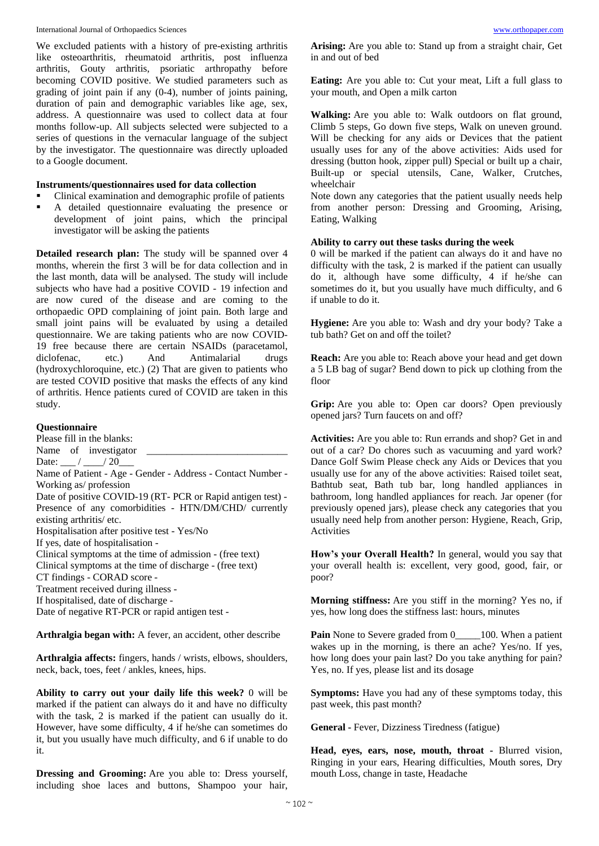We excluded patients with a history of pre-existing arthritis like osteoarthritis, rheumatoid arthritis, post influenza arthritis, Gouty arthritis, psoriatic arthropathy before becoming COVID positive. We studied parameters such as grading of joint pain if any (0-4), number of joints paining, duration of pain and demographic variables like age, sex, address. A questionnaire was used to collect data at four months follow-up. All subjects selected were subjected to a series of questions in the vernacular language of the subject by the investigator. The questionnaire was directly uploaded to a Google document.

# **Instruments/questionnaires used for data collection**

- Clinical examination and demographic profile of patients
- A detailed questionnaire evaluating the presence or development of joint pains, which the principal investigator will be asking the patients

**Detailed research plan:** The study will be spanned over 4 months, wherein the first 3 will be for data collection and in the last month, data will be analysed. The study will include subjects who have had a positive COVID - 19 infection and are now cured of the disease and are coming to the orthopaedic OPD complaining of joint pain. Both large and small joint pains will be evaluated by using a detailed questionnaire. We are taking patients who are now COVID-19 free because there are certain NSAIDs (paracetamol, diclofenac, etc.) And Antimalarial drugs (hydroxychloroquine, etc.) (2) That are given to patients who are tested COVID positive that masks the effects of any kind of arthritis. Hence patients cured of COVID are taken in this study.

# **Questionnaire**

Please fill in the blanks: Name of investigator Date:  $/20$ Name of Patient - Age - Gender - Address - Contact Number - Working as/ profession Date of positive COVID-19 (RT- PCR or Rapid antigen test) - Presence of any comorbidities - HTN/DM/CHD/ currently existing arthritis/ etc. Hospitalisation after positive test - Yes/No If yes, date of hospitalisation - Clinical symptoms at the time of admission - (free text) Clinical symptoms at the time of discharge - (free text) CT findings - CORAD score - Treatment received during illness - If hospitalised, date of discharge - Date of negative RT-PCR or rapid antigen test -

**Arthralgia began with:** A fever, an accident, other describe

**Arthralgia affects:** fingers, hands / wrists, elbows, shoulders, neck, back, toes, feet / ankles, knees, hips.

**Ability to carry out your daily life this week?** 0 will be marked if the patient can always do it and have no difficulty with the task, 2 is marked if the patient can usually do it. However, have some difficulty, 4 if he/she can sometimes do it, but you usually have much difficulty, and 6 if unable to do it.

**Dressing and Grooming:** Are you able to: Dress yourself, including shoe laces and buttons, Shampoo your hair,

**Arising:** Are you able to: Stand up from a straight chair, Get in and out of bed

**Eating:** Are you able to: Cut your meat, Lift a full glass to your mouth, and Open a milk carton

**Walking:** Are you able to: Walk outdoors on flat ground, Climb 5 steps, Go down five steps, Walk on uneven ground. Will be checking for any aids or Devices that the patient usually uses for any of the above activities: Aids used for dressing (button hook, zipper pull) Special or built up a chair, Built-up or special utensils, Cane, Walker, Crutches, wheelchair

Note down any categories that the patient usually needs help from another person: Dressing and Grooming, Arising, Eating, Walking

# **Ability to carry out these tasks during the week**

0 will be marked if the patient can always do it and have no difficulty with the task, 2 is marked if the patient can usually do it, although have some difficulty, 4 if he/she can sometimes do it, but you usually have much difficulty, and 6 if unable to do it.

**Hygiene:** Are you able to: Wash and dry your body? Take a tub bath? Get on and off the toilet?

**Reach:** Are you able to: Reach above your head and get down a 5 LB bag of sugar? Bend down to pick up clothing from the floor

**Grip:** Are you able to: Open car doors? Open previously opened jars? Turn faucets on and off?

**Activities:** Are you able to: Run errands and shop? Get in and out of a car? Do chores such as vacuuming and yard work? Dance Golf Swim Please check any Aids or Devices that you usually use for any of the above activities: Raised toilet seat, Bathtub seat, Bath tub bar, long handled appliances in bathroom, long handled appliances for reach. Jar opener (for previously opened jars), please check any categories that you usually need help from another person: Hygiene, Reach, Grip, Activities

**How's your Overall Health?** In general, would you say that your overall health is: excellent, very good, good, fair, or poor?

**Morning stiffness:** Are you stiff in the morning? Yes no, if yes, how long does the stiffness last: hours, minutes

**Pain** None to Severe graded from 0  $\qquad$  100. When a patient wakes up in the morning, is there an ache? Yes/no. If yes, how long does your pain last? Do you take anything for pain? Yes, no. If yes, please list and its dosage

**Symptoms:** Have you had any of these symptoms today, this past week, this past month?

**General -** Fever, Dizziness Tiredness (fatigue)

**Head, eyes, ears, nose, mouth, throat -** Blurred vision, Ringing in your ears, Hearing difficulties, Mouth sores, Dry mouth Loss, change in taste, Headache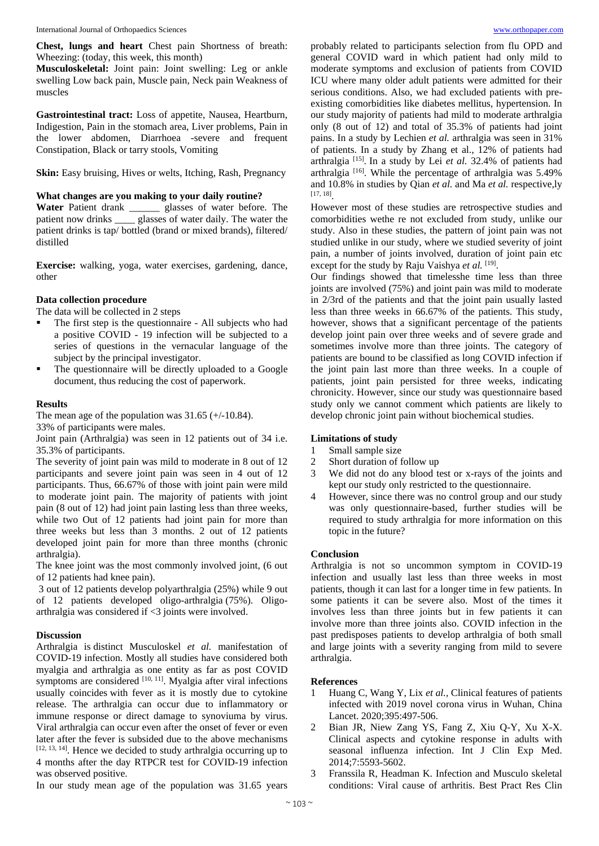**Chest, lungs and heart** Chest pain Shortness of breath: Wheezing: (today, this week, this month)

**Musculoskeletal:** Joint pain: Joint swelling: Leg or ankle swelling Low back pain, Muscle pain, Neck pain Weakness of muscles

**Gastrointestinal tract:** Loss of appetite, Nausea, Heartburn, Indigestion, Pain in the stomach area, Liver problems, Pain in the lower abdomen, Diarrhoea -severe and frequent Constipation, Black or tarry stools, Vomiting

**Skin:** Easy bruising, Hives or welts, Itching, Rash, Pregnancy

## **What changes are you making to your daily routine?**

**Water** Patient drank \_\_\_\_\_\_ glasses of water before. The patient now drinks \_\_\_\_ glasses of water daily. The water the patient drinks is tap/ bottled (brand or mixed brands), filtered/ distilled

**Exercise:** walking, yoga, water exercises, gardening, dance, other

# **Data collection procedure**

The data will be collected in 2 steps

- The first step is the questionnaire All subjects who had a positive COVID - 19 infection will be subjected to a series of questions in the vernacular language of the subject by the principal investigator.
- The questionnaire will be directly uploaded to a Google document, thus reducing the cost of paperwork.

## **Results**

The mean age of the population was  $31.65$  (+/-10.84). 33% of participants were males.

Joint pain (Arthralgia) was seen in 12 patients out of 34 i.e. 35.3% of participants.

The severity of joint pain was mild to moderate in 8 out of 12 participants and severe joint pain was seen in 4 out of 12 participants. Thus, 66.67% of those with joint pain were mild to moderate joint pain. The majority of patients with joint pain (8 out of 12) had joint pain lasting less than three weeks, while two Out of 12 patients had joint pain for more than three weeks but less than 3 months. 2 out of 12 patients developed joint pain for more than three months (chronic arthralgia).

The knee joint was the most commonly involved joint, (6 out of 12 patients had knee pain).

3 out of 12 patients develop polyarthralgia (25%) while 9 out of 12 patients developed oligo-arthralgia (75%). Oligoarthralgia was considered if <3 joints were involved.

## **Discussion**

Arthralgia is distinct Musculoskel *et al.* manifestation of COVID-19 infection. Mostly all studies have considered both myalgia and arthralgia as one entity as far as post COVID symptoms are considered  $[10, 11]$ . Myalgia after viral infections usually coincides with fever as it is mostly due to cytokine release. The arthralgia can occur due to inflammatory or immune response or direct damage to synoviuma by virus. Viral arthralgia can occur even after the onset of fever or even later after the fever is subsided due to the above mechanisms  $[12, 13, 14]$ . Hence we decided to study arthralgia occurring up to 4 months after the day RTPCR test for COVID-19 infection was observed positive.

In our study mean age of the population was 31.65 years

probably related to participants selection from flu OPD and general COVID ward in which patient had only mild to moderate symptoms and exclusion of patients from COVID ICU where many older adult patients were admitted for their serious conditions. Also, we had excluded patients with preexisting comorbidities like diabetes mellitus, hypertension. In our study majority of patients had mild to moderate arthralgia only (8 out of 12) and total of 35.3% of patients had joint pains. In a study by Lechien *et al.* arthralgia was seen in 31% of patients. In a study by Zhang et al., 12% of patients had arthralgia<sup>[15]</sup>. In a study by Lei et al. 32.4% of patients had arthralgia<sup>[16]</sup>. While the percentage of arthralgia was 5.49% and 10.8% in studies by Qian *et al.* and Ma *et al.* respective,ly [17, 18] .

However most of these studies are retrospective studies and comorbidities wethe re not excluded from study, unlike our study. Also in these studies, the pattern of joint pain was not studied unlike in our study, where we studied severity of joint pain, a number of joints involved, duration of joint pain etc except for the study by Raju Vaishya et al. [19].

Our findings showed that timelesshe time less than three joints are involved (75%) and joint pain was mild to moderate in 2/3rd of the patients and that the joint pain usually lasted less than three weeks in 66.67% of the patients. This study, however, shows that a significant percentage of the patients develop joint pain over three weeks and of severe grade and sometimes involve more than three joints. The category of patients are bound to be classified as long COVID infection if the joint pain last more than three weeks. In a couple of patients, joint pain persisted for three weeks, indicating chronicity. However, since our study was questionnaire based study only we cannot comment which patients are likely to develop chronic joint pain without biochemical studies.

## **Limitations of study**

- 1 Small sample size
- 2 Short duration of follow up
- 3 We did not do any blood test or x-rays of the joints and kept our study only restricted to the questionnaire.
- 4 However, since there was no control group and our study was only questionnaire-based, further studies will be required to study arthralgia for more information on this topic in the future?

## **Conclusion**

Arthralgia is not so uncommon symptom in COVID-19 infection and usually last less than three weeks in most patients, though it can last for a longer time in few patients. In some patients it can be severe also. Most of the times it involves less than three joints but in few patients it can involve more than three joints also. COVID infection in the past predisposes patients to develop arthralgia of both small and large joints with a severity ranging from mild to severe arthralgia.

#### **References**

- 1 Huang C, Wang Y, Lix *et al.,* Clinical features of patients infected with 2019 novel corona virus in Wuhan, China Lancet. 2020;395:497-506.
- 2 Bian JR, Niew Zang YS, Fang Z, Xiu Q-Y, Xu X-X. Clinical aspects and cytokine response in adults with seasonal influenza infection. Int J Clin Exp Med. 2014;7:5593-5602.
- 3 Franssila R, Headman K. Infection and Musculo skeletal conditions: Viral cause of arthritis. Best Pract Res Clin